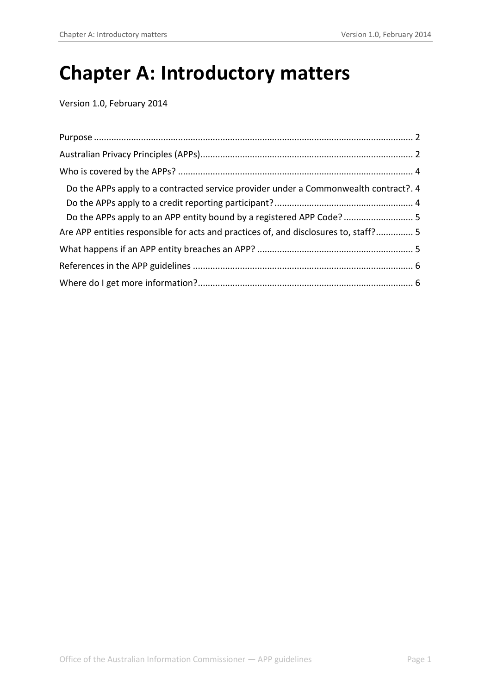# **Chapter A: Introductory matters**

Version 1.0, February 2014

<span id="page-0-0"></span>

| Do the APPs apply to a contracted service provider under a Commonwealth contract?. 4 |  |
|--------------------------------------------------------------------------------------|--|
|                                                                                      |  |
|                                                                                      |  |
| Are APP entities responsible for acts and practices of, and disclosures to, staff? 5 |  |
|                                                                                      |  |
|                                                                                      |  |
|                                                                                      |  |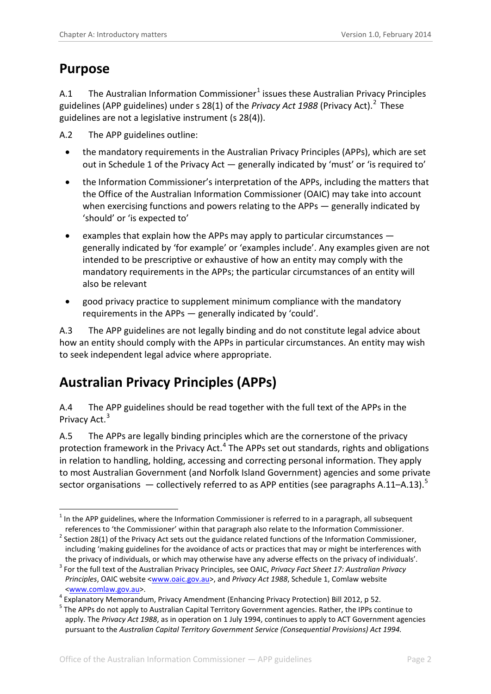### <span id="page-1-0"></span>**Purpose**

A.[1](#page-0-0) The Australian Information Commissioner<sup>1</sup> issues these Australian Privacy Principles guidelines (APP guidelines) under s 28(1) of the *Privacy Act 1988* (Privacy Act). [2](#page-1-2) These guidelines are not a legislative instrument (s 28(4)).

<span id="page-1-7"></span>A.2 The APP guidelines outline:

- the mandatory requirements in the Australian Privacy Principles (APPs), which are set out in Schedule 1 of the Privacy Act — generally indicated by 'must' or 'is required to'
- the Information Commissioner's interpretation of the APPs, including the matters that the Office of the Australian Information Commissioner (OAIC) may take into account when exercising functions and powers relating to the APPs — generally indicated by 'should' or 'is expected to'
- examples that explain how the APPs may apply to particular circumstances generally indicated by 'for example' or 'examples include'. Any examples given are not intended to be prescriptive or exhaustive of how an entity may comply with the mandatory requirements in the APPs; the particular circumstances of an entity will also be relevant
- good privacy practice to supplement minimum compliance with the mandatory requirements in the APPs — generally indicated by 'could'.

A.3 The APP guidelines are not legally binding and do not constitute legal advice about how an entity should comply with the APPs in particular circumstances. An entity may wish to seek independent legal advice where appropriate.

# <span id="page-1-1"></span>**Australian Privacy Principles (APPs)**

A.4 The APP guidelines should be read together with the full text of the APPs in the Privacy Act.<sup>[3](#page-1-3)</sup>

A.5 The APPs are legally binding principles which are the cornerstone of the privacy protection framework in the Privacy Act.<sup>[4](#page-1-4)</sup> The APPs set out standards, rights and obligations in relation to handling, holding, accessing and correcting personal information. They apply to most Australian Government (and Norfolk Island Government) agencies and some private sector organisations  $-$  collectively referred to as APP entities (see paragraph[s A.11–](#page-3-3)[A.13\)](#page-3-4).<sup>[5](#page-1-5)</sup>

<sup>-</sup> $1$  In the APP guidelines, where the Information Commissioner is referred to in a paragraph, all subsequent references to 'the Commissioner' within that paragraph also relate to the Information Commissioner.

<span id="page-1-2"></span> $2$  Section 28(1) of the Privacy Act sets out the guidance related functions of the Information Commissioner, including 'making guidelines for the avoidance of acts or practices that may or might be interferences with

<span id="page-1-3"></span>the privacy of individuals, or which may otherwise have any adverse effects on the privacy of individuals'.<br><sup>3</sup> For the full text of the Australian Privacy Principles, see OAIC, *Privacy Fact Sheet 17: Australian Privacy Principles*, OAIC website [<www.oaic.gov.au>](http://www.oaic.gov.au/), and *Privacy Act 1988*, Schedule 1, Comlaw website <www.comlaw.gov.au>. <sup>4</sup> Explanatory Memorandum, Privacy Amendment (Enhancing Privacy Protection) Bill 2012, p 52.

<span id="page-1-4"></span>

<span id="page-1-6"></span><span id="page-1-5"></span><sup>&</sup>lt;sup>5</sup> The APPs do not apply to Australian Capital Territory Government agencies. Rather, the IPPs continue to apply. The *Privacy Act 1988*, as in operation on 1 July 1994, continues to apply to ACT Government agencies pursuant to the *Australian Capital Territory Government Service (Consequential Provisions) Act 1994.*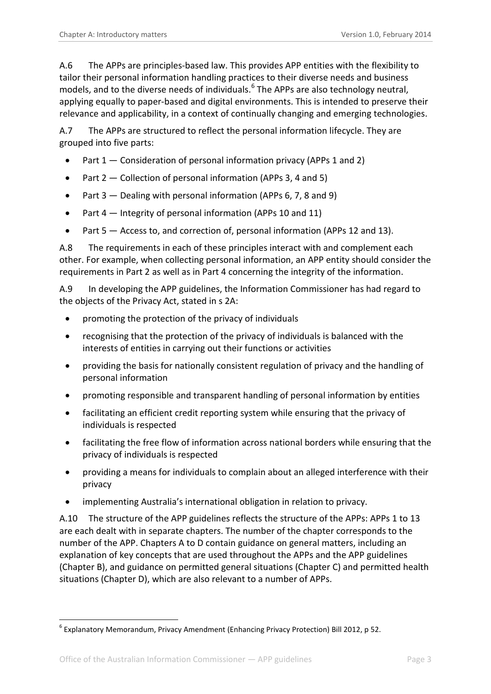A.6 The APPs are principles-based law. This provides APP entities with the flexibility to tailor their personal information handling practices to their diverse needs and business models, and to the diverse needs of individuals. [6](#page-1-6) The APPs are also technology neutral, applying equally to paper-based and digital environments. This is intended to preserve their relevance and applicability, in a context of continually changing and emerging technologies.

A.7 The APPs are structured to reflect the personal information lifecycle. They are grouped into five parts:

- Part  $1 -$  Consideration of personal information privacy (APPs 1 and 2)
- Part 2 Collection of personal information (APPs 3, 4 and 5)
- Part 3 Dealing with personal information (APPs 6, 7, 8 and 9)
- Part 4 Integrity of personal information (APPs 10 and 11)
- Part 5 Access to, and correction of, personal information (APPs 12 and 13).

A.8 The requirements in each of these principles interact with and complement each other. For example, when collecting personal information, an APP entity should consider the requirements in Part 2 as well as in Part 4 concerning the integrity of the information.

A.9 In developing the APP guidelines, the Information Commissioner has had regard to the objects of the Privacy Act, stated in s 2A:

- promoting the protection of the privacy of individuals
- recognising that the protection of the privacy of individuals is balanced with the interests of entities in carrying out their functions or activities
- providing the basis for nationally consistent regulation of privacy and the handling of personal information
- promoting responsible and transparent handling of personal information by entities
- facilitating an efficient credit reporting system while ensuring that the privacy of individuals is respected
- facilitating the free flow of information across national borders while ensuring that the privacy of individuals is respected
- providing a means for individuals to complain about an alleged interference with their privacy
- implementing Australia's international obligation in relation to privacy.

A.10 The structure of the APP guidelines reflects the structure of the APPs: APPs 1 to 13 are each dealt with in separate chapters. The number of the chapter corresponds to the number of the APP. Chapters A to D contain guidance on general matters, including an explanation of key concepts that are used throughout the APPs and the APP guidelines (Chapter B), and guidance on permitted general situations (Chapter C) and permitted health situations (Chapter D), which are also relevant to a number of APPs.

<span id="page-2-0"></span>-

 $6$  Explanatory Memorandum, Privacy Amendment (Enhancing Privacy Protection) Bill 2012, p 52.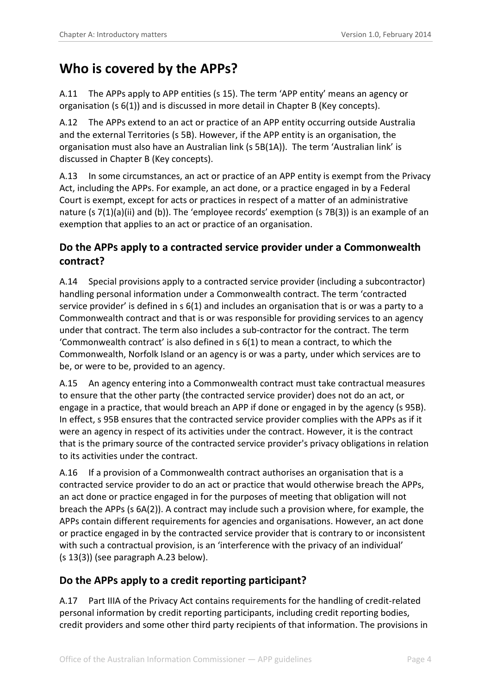# <span id="page-3-0"></span>**Who is covered by the APPs?**

<span id="page-3-3"></span>A.11 The APPs apply to APP entities (s 15). The term 'APP entity' means an agency or organisation (s 6(1)) and is discussed in more detail in Chapter B (Key concepts).

A.12 The APPs extend to an act or practice of an APP entity occurring outside Australia and the external Territories (s 5B). However, if the APP entity is an organisation, the organisation must also have an Australian link (s 5B(1A)). The term 'Australian link' is discussed in Chapter B (Key concepts).

A.13 In some circumstances, an act or practice of an APP entity is exempt from the Privacy Act, including the APPs. For example, an act done, or a practice engaged in by a Federal Court is exempt, except for acts or practices in respect of a matter of an administrative nature (s 7(1)(a)(ii) and (b)). The 'employee records' exemption (s 7B(3)) is an example of an exemption that applies to an act or practice of an organisation.

#### <span id="page-3-4"></span><span id="page-3-1"></span>**Do the APPs apply to a contracted service provider under a Commonwealth contract?**

A.14 Special provisions apply to a contracted service provider (including a subcontractor) handling personal information under a Commonwealth contract. The term 'contracted service provider' is defined in s 6(1) and includes an organisation that is or was a party to a Commonwealth contract and that is or was responsible for providing services to an agency under that contract. The term also includes a sub-contractor for the contract. The term 'Commonwealth contract' is also defined in s 6(1) to mean a contract, to which the Commonwealth, Norfolk Island or an agency is or was a party, under which services are to be, or were to be, provided to an agency.

A.15 An agency entering into a Commonwealth contract must take contractual measures to ensure that the other party (the contracted service provider) does not do an act, or engage in a practice, that would breach an APP if done or engaged in by the agency (s 95B). In effect, s 95B ensures that the contracted service provider complies with the APPs as if it were an agency in respect of its activities under the contract. However, it is the contract that is the primary source of the contracted service provider's privacy obligations in relation to its activities under the contract.

A.16 If a provision of a Commonwealth contract authorises an organisation that is a contracted service provider to do an act or practice that would otherwise breach the APPs, an act done or practice engaged in for the purposes of meeting that obligation will not breach the APPs (s 6A(2)). A contract may include such a provision where, for example, the APPs contain different requirements for agencies and organisations. However, an act done or practice engaged in by the contracted service provider that is contrary to or inconsistent with such a contractual provision, is an 'interference with the privacy of an individual' (s 13(3)) (see paragraph [A.23](#page-4-3) below).

#### <span id="page-3-2"></span>**Do the APPs apply to a credit reporting participant?**

A.17 Part IIIA of the Privacy Act contains requirements for the handling of credit-related personal information by credit reporting participants, including credit reporting bodies, credit providers and some other third party recipients of that information. The provisions in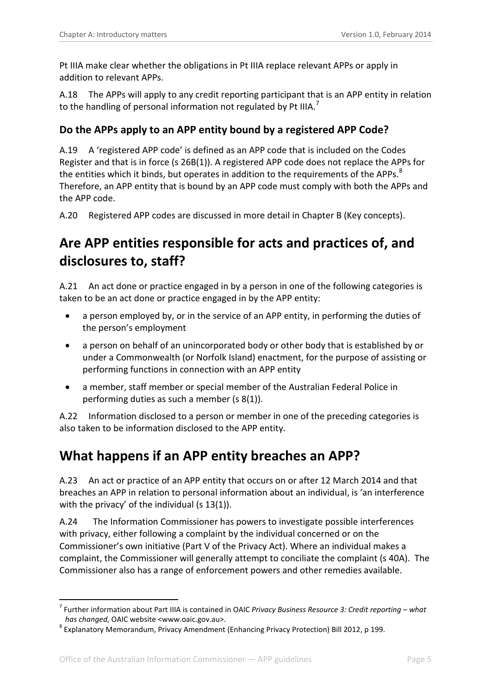Pt IIIA make clear whether the obligations in Pt IIIA replace relevant APPs or apply in addition to relevant APPs.

A.18 The APPs will apply to any credit reporting participant that is an APP entity in relation to the handling of personal information not regulated by Pt IIIA.<sup>[7](#page-2-0)</sup>

#### <span id="page-4-0"></span>**Do the APPs apply to an APP entity bound by a registered APP Code?**

A.19 A 'registered APP code' is defined as an APP code that is included on the Codes Register and that is in force (s 26B(1)). A registered APP code does not replace the APPs for the entities which it binds, but operates in addition to the requirements of the APPs.<sup>[8](#page-4-4)</sup> Therefore, an APP entity that is bound by an APP code must comply with both the APPs and the APP code.

A.20 Registered APP codes are discussed in more detail in Chapter B (Key concepts).

# <span id="page-4-1"></span>**Are APP entities responsible for acts and practices of, and disclosures to, staff?**

A.21 An act done or practice engaged in by a person in one of the following categories is taken to be an act done or practice engaged in by the APP entity:

- a person employed by, or in the service of an APP entity, in performing the duties of the person's employment
- a person on behalf of an unincorporated body or other body that is established by or under a Commonwealth (or Norfolk Island) enactment, for the purpose of assisting or performing functions in connection with an APP entity
- a member, staff member or special member of the Australian Federal Police in performing duties as such a member (s 8(1)).

A.22 Information disclosed to a person or member in one of the preceding categories is also taken to be information disclosed to the APP entity.

## <span id="page-4-2"></span>**What happens if an APP entity breaches an APP?**

<span id="page-4-3"></span>A.23 An act or practice of an APP entity that occurs on or after 12 March 2014 and that breaches an APP in relation to personal information about an individual, is 'an interference with the privacy' of the individual (s 13(1)).

A.24 The Information Commissioner has powers to investigate possible interferences with privacy, either following a complaint by the individual concerned or on the Commissioner's own initiative (Part V of the Privacy Act). Where an individual makes a complaint, the Commissioner will generally attempt to conciliate the complaint (s 40A). The Commissioner also has a range of enforcement powers and other remedies available.

-

<sup>7</sup> Further information about Part IIIA is contained in OAIC *Privacy Business Resource 3: Credit reporting – what has changed*, OAIC website <www.oaic.gov.au>. <sup>8</sup> Explanatory Memorandum, Privacy Amendment (Enhancing Privacy Protection) Bill 2012, p 199.

<span id="page-4-4"></span>